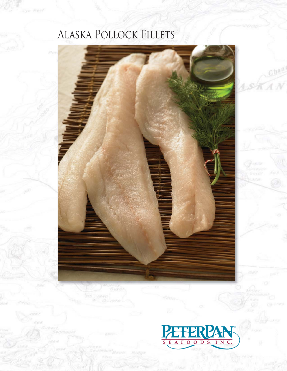# Alaska Pollock Fillets